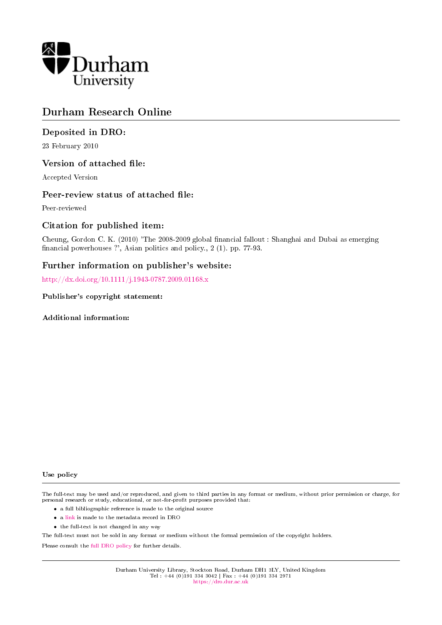

# Durham Research Online

# Deposited in DRO:

23 February 2010

# Version of attached file:

Accepted Version

### Peer-review status of attached file:

Peer-reviewed

# Citation for published item:

Cheung, Gordon C. K. (2010) 'The 2008-2009 global nancial fallout : Shanghai and Dubai as emerging financial powerhouses ?', Asian politics and policy., 2 (1). pp. 77-93.

# Further information on publisher's website:

<http://dx.doi.org/10.1111/j.1943-0787.2009.01168.x>

#### Publisher's copyright statement:

Additional information:

#### Use policy

The full-text may be used and/or reproduced, and given to third parties in any format or medium, without prior permission or charge, for personal research or study, educational, or not-for-profit purposes provided that:

- a full bibliographic reference is made to the original source
- a [link](http://dro.dur.ac.uk/6472/) is made to the metadata record in DRO
- the full-text is not changed in any way

The full-text must not be sold in any format or medium without the formal permission of the copyright holders.

Please consult the [full DRO policy](https://dro.dur.ac.uk/policies/usepolicy.pdf) for further details.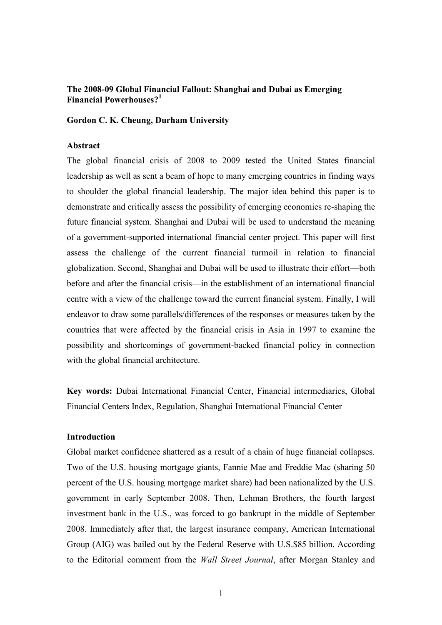# **The 2008-09 Global Financial Fallout: Shanghai and Dubai as Emerging Financial Powerhouses?<sup>1</sup>**

### **Gordon C. K. Cheung, Durham University**

# **Abstract**

The global financial crisis of 2008 to 2009 tested the United States financial leadership as well as sent a beam of hope to many emerging countries in finding ways to shoulder the global financial leadership. The major idea behind this paper is to demonstrate and critically assess the possibility of emerging economies re-shaping the future financial system. Shanghai and Dubai will be used to understand the meaning of a government-supported international financial center project. This paper will first assess the challenge of the current financial turmoil in relation to financial globalization. Second, Shanghai and Dubai will be used to illustrate their effort—both before and after the financial crisis—in the establishment of an international financial centre with a view of the challenge toward the current financial system. Finally, I will endeavor to draw some parallels/differences of the responses or measures taken by the countries that were affected by the financial crisis in Asia in 1997 to examine the possibility and shortcomings of government-backed financial policy in connection with the global financial architecture.

**Key words:** Dubai International Financial Center, Financial intermediaries, Global Financial Centers Index, Regulation, Shanghai International Financial Center

# **Introduction**

Global market confidence shattered as a result of a chain of huge financial collapses. Two of the U.S. housing mortgage giants, Fannie Mae and Freddie Mac (sharing 50 percent of the U.S. housing mortgage market share) had been nationalized by the U.S. government in early September 2008. Then, Lehman Brothers, the fourth largest investment bank in the U.S., was forced to go bankrupt in the middle of September 2008. Immediately after that, the largest insurance company, American International Group (AIG) was bailed out by the Federal Reserve with U.S.\$85 billion. According to the Editorial comment from the *Wall Street Journal*, after Morgan Stanley and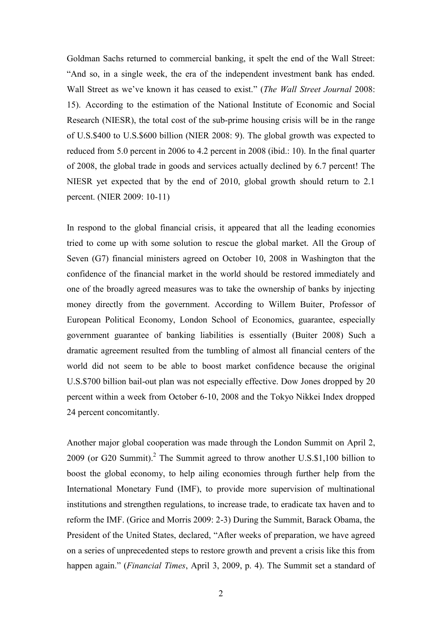Goldman Sachs returned to commercial banking, it spelt the end of the Wall Street: ―And so, in a single week, the era of the independent investment bank has ended. Wall Street as we've known it has ceased to exist." (*The Wall Street Journal* 2008: 15). According to the estimation of the National Institute of Economic and Social Research (NIESR), the total cost of the sub-prime housing crisis will be in the range of U.S.\$400 to U.S.\$600 billion (NIER 2008: 9). The global growth was expected to reduced from 5.0 percent in 2006 to 4.2 percent in 2008 (ibid.: 10). In the final quarter of 2008, the global trade in goods and services actually declined by 6.7 percent! The NIESR yet expected that by the end of 2010, global growth should return to 2.1 percent. (NIER 2009: 10-11)

In respond to the global financial crisis, it appeared that all the leading economies tried to come up with some solution to rescue the global market. All the Group of Seven (G7) financial ministers agreed on October 10, 2008 in Washington that the confidence of the financial market in the world should be restored immediately and one of the broadly agreed measures was to take the ownership of banks by injecting money directly from the government. According to Willem Buiter, Professor of European Political Economy, London School of Economics, guarantee, especially government guarantee of banking liabilities is essentially (Buiter 2008) Such a dramatic agreement resulted from the tumbling of almost all financial centers of the world did not seem to be able to boost market confidence because the original U.S.\$700 billion bail-out plan was not especially effective. Dow Jones dropped by 20 percent within a week from October 6-10, 2008 and the Tokyo Nikkei Index dropped 24 percent concomitantly.

Another major global cooperation was made through the London Summit on April 2,  $2009$  (or G20 Summit).<sup>2</sup> The Summit agreed to throw another U.S.\$1,100 billion to boost the global economy, to help ailing economies through further help from the International Monetary Fund (IMF), to provide more supervision of multinational institutions and strengthen regulations, to increase trade, to eradicate tax haven and to reform the IMF. (Grice and Morris 2009: 2-3) During the Summit, Barack Obama, the President of the United States, declared, "After weeks of preparation, we have agreed on a series of unprecedented steps to restore growth and prevent a crisis like this from happen again." (*Financial Times*, April 3, 2009, p. 4). The Summit set a standard of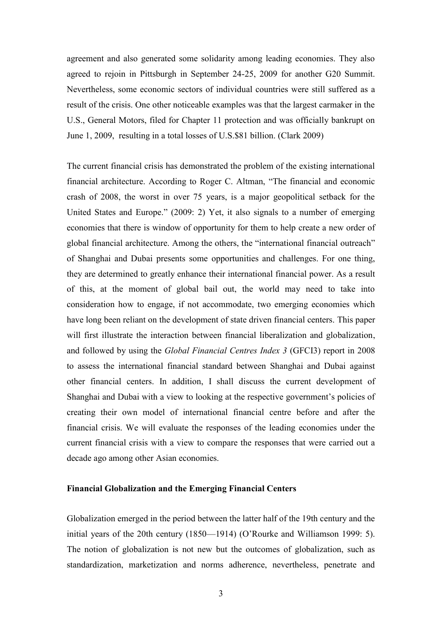agreement and also generated some solidarity among leading economies. They also agreed to rejoin in Pittsburgh in September 24-25, 2009 for another G20 Summit. Nevertheless, some economic sectors of individual countries were still suffered as a result of the crisis. One other noticeable examples was that the largest carmaker in the U.S., General Motors, filed for Chapter 11 protection and was officially bankrupt on June 1, 2009, resulting in a total losses of U.S.\$81 billion. (Clark 2009)

The current financial crisis has demonstrated the problem of the existing international financial architecture. According to Roger C. Altman, "The financial and economic crash of 2008, the worst in over 75 years, is a major geopolitical setback for the United States and Europe." (2009: 2) Yet, it also signals to a number of emerging economies that there is window of opportunity for them to help create a new order of global financial architecture. Among the others, the "international financial outreach" of Shanghai and Dubai presents some opportunities and challenges. For one thing, they are determined to greatly enhance their international financial power. As a result of this, at the moment of global bail out, the world may need to take into consideration how to engage, if not accommodate, two emerging economies which have long been reliant on the development of state driven financial centers. This paper will first illustrate the interaction between financial liberalization and globalization, and followed by using the *Global Financial Centres Index 3* (GFCI3) report in 2008 to assess the international financial standard between Shanghai and Dubai against other financial centers. In addition, I shall discuss the current development of Shanghai and Dubai with a view to looking at the respective government's policies of creating their own model of international financial centre before and after the financial crisis. We will evaluate the responses of the leading economies under the current financial crisis with a view to compare the responses that were carried out a decade ago among other Asian economies.

# **Financial Globalization and the Emerging Financial Centers**

Globalization emerged in the period between the latter half of the 19th century and the initial years of the 20th century (1850—1914) (O'Rourke and Williamson 1999: 5). The notion of globalization is not new but the outcomes of globalization, such as standardization, marketization and norms adherence, nevertheless, penetrate and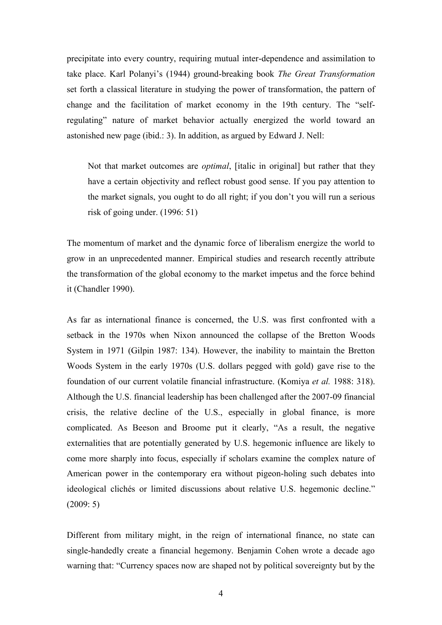precipitate into every country, requiring mutual inter-dependence and assimilation to take place. Karl Polanyi's (1944) ground-breaking book *The Great Transformation* set forth a classical literature in studying the power of transformation, the pattern of change and the facilitation of market economy in the 19th century. The "selfregulating" nature of market behavior actually energized the world toward an astonished new page (ibid.: 3). In addition, as argued by Edward J. Nell:

Not that market outcomes are *optimal*, [italic in original] but rather that they have a certain objectivity and reflect robust good sense. If you pay attention to the market signals, you ought to do all right; if you don't you will run a serious risk of going under. (1996: 51)

The momentum of market and the dynamic force of liberalism energize the world to grow in an unprecedented manner. Empirical studies and research recently attribute the transformation of the global economy to the market impetus and the force behind it (Chandler 1990).

As far as international finance is concerned, the U.S. was first confronted with a setback in the 1970s when Nixon announced the collapse of the Bretton Woods System in 1971 (Gilpin 1987: 134). However, the inability to maintain the Bretton Woods System in the early 1970s (U.S. dollars pegged with gold) gave rise to the foundation of our current volatile financial infrastructure. (Komiya *et al.* 1988: 318). Although the U.S. financial leadership has been challenged after the 2007-09 financial crisis, the relative decline of the U.S., especially in global finance, is more complicated. As Beeson and Broome put it clearly, "As a result, the negative externalities that are potentially generated by U.S. hegemonic influence are likely to come more sharply into focus, especially if scholars examine the complex nature of American power in the contemporary era without pigeon-holing such debates into ideological clichés or limited discussions about relative U.S. hegemonic decline." (2009: 5)

Different from military might, in the reign of international finance, no state can single-handedly create a financial hegemony. Benjamin Cohen wrote a decade ago warning that: "Currency spaces now are shaped not by political sovereignty but by the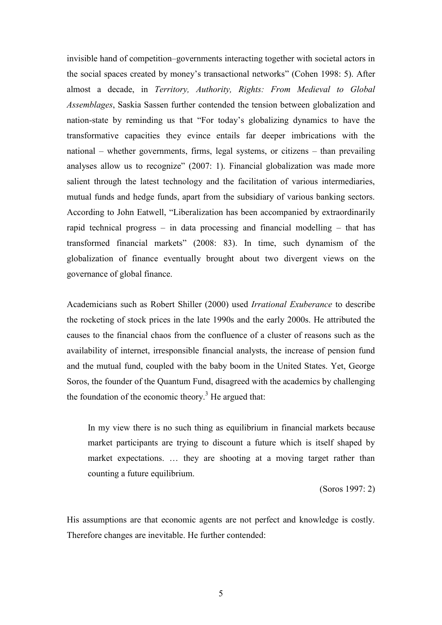invisible hand of competition–governments interacting together with societal actors in the social spaces created by money's transactional networks" (Cohen 1998: 5). After almost a decade, in *Territory, Authority, Rights: From Medieval to Global Assemblages*, Saskia Sassen further contended the tension between globalization and nation-state by reminding us that "For today's globalizing dynamics to have the transformative capacities they evince entails far deeper imbrications with the national – whether governments, firms, legal systems, or citizens – than prevailing analyses allow us to recognize"  $(2007: 1)$ . Financial globalization was made more salient through the latest technology and the facilitation of various intermediaries, mutual funds and hedge funds, apart from the subsidiary of various banking sectors. According to John Eatwell, "Liberalization has been accompanied by extraordinarily rapid technical progress – in data processing and financial modelling – that has transformed financial markets" (2008: 83). In time, such dynamism of the globalization of finance eventually brought about two divergent views on the governance of global finance.

Academicians such as Robert Shiller (2000) used *Irrational Exuberance* to describe the rocketing of stock prices in the late 1990s and the early 2000s. He attributed the causes to the financial chaos from the confluence of a cluster of reasons such as the availability of internet, irresponsible financial analysts, the increase of pension fund and the mutual fund, coupled with the baby boom in the United States. Yet, George Soros, the founder of the Quantum Fund, disagreed with the academics by challenging the foundation of the economic theory.<sup>3</sup> He argued that:

In my view there is no such thing as equilibrium in financial markets because market participants are trying to discount a future which is itself shaped by market expectations. … they are shooting at a moving target rather than counting a future equilibrium.

(Soros 1997: 2)

His assumptions are that economic agents are not perfect and knowledge is costly. Therefore changes are inevitable. He further contended: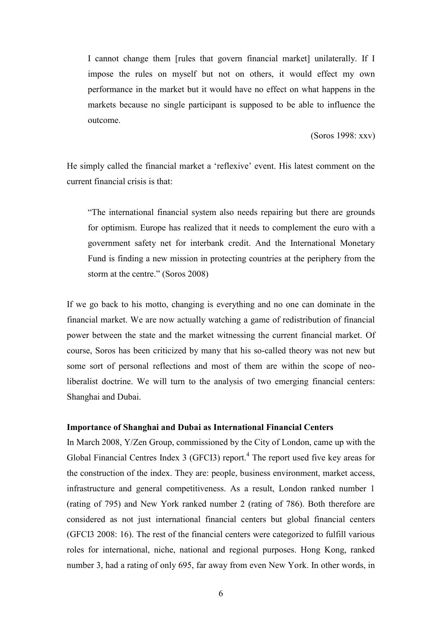I cannot change them [rules that govern financial market] unilaterally. If I impose the rules on myself but not on others, it would effect my own performance in the market but it would have no effect on what happens in the markets because no single participant is supposed to be able to influence the outcome.

(Soros 1998: xxv)

He simply called the financial market a 'reflexive' event. His latest comment on the current financial crisis is that:

―The international financial system also needs repairing but there are grounds for optimism. Europe has realized that it needs to complement the euro with a government safety net for interbank credit. And the International Monetary Fund is finding a new mission in protecting countries at the periphery from the storm at the centre." (Soros 2008)

If we go back to his motto, changing is everything and no one can dominate in the financial market. We are now actually watching a game of redistribution of financial power between the state and the market witnessing the current financial market. Of course, Soros has been criticized by many that his so-called theory was not new but some sort of personal reflections and most of them are within the scope of neoliberalist doctrine. We will turn to the analysis of two emerging financial centers: Shanghai and Dubai.

### **Importance of Shanghai and Dubai as International Financial Centers**

In March 2008, Y/Zen Group, commissioned by the City of London, came up with the Global Financial Centres Index  $3$  (GFCI3) report.<sup>4</sup> The report used five key areas for the construction of the index. They are: people, business environment, market access, infrastructure and general competitiveness. As a result, London ranked number 1 (rating of 795) and New York ranked number 2 (rating of 786). Both therefore are considered as not just international financial centers but global financial centers (GFCI3 2008: 16). The rest of the financial centers were categorized to fulfill various roles for international, niche, national and regional purposes. Hong Kong, ranked number 3, had a rating of only 695, far away from even New York. In other words, in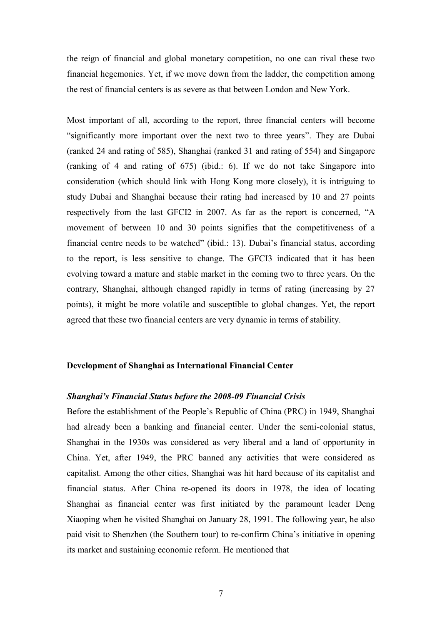the reign of financial and global monetary competition, no one can rival these two financial hegemonies. Yet, if we move down from the ladder, the competition among the rest of financial centers is as severe as that between London and New York.

Most important of all, according to the report, three financial centers will become "significantly more important over the next two to three years". They are Dubai (ranked 24 and rating of 585), Shanghai (ranked 31 and rating of 554) and Singapore (ranking of 4 and rating of 675) (ibid.: 6). If we do not take Singapore into consideration (which should link with Hong Kong more closely), it is intriguing to study Dubai and Shanghai because their rating had increased by 10 and 27 points respectively from the last GFCI2 in 2007. As far as the report is concerned, "A movement of between 10 and 30 points signifies that the competitiveness of a financial centre needs to be watched" (ibid.: 13). Dubai's financial status, according to the report, is less sensitive to change. The GFCI3 indicated that it has been evolving toward a mature and stable market in the coming two to three years. On the contrary, Shanghai, although changed rapidly in terms of rating (increasing by 27 points), it might be more volatile and susceptible to global changes. Yet, the report agreed that these two financial centers are very dynamic in terms of stability.

#### **Development of Shanghai as International Financial Center**

## *Shanghai's Financial Status before the 2008-09 Financial Crisis*

Before the establishment of the People's Republic of China (PRC) in 1949, Shanghai had already been a banking and financial center. Under the semi-colonial status, Shanghai in the 1930s was considered as very liberal and a land of opportunity in China. Yet, after 1949, the PRC banned any activities that were considered as capitalist. Among the other cities, Shanghai was hit hard because of its capitalist and financial status. After China re-opened its doors in 1978, the idea of locating Shanghai as financial center was first initiated by the paramount leader Deng Xiaoping when he visited Shanghai on January 28, 1991. The following year, he also paid visit to Shenzhen (the Southern tour) to re-confirm China's initiative in opening its market and sustaining economic reform. He mentioned that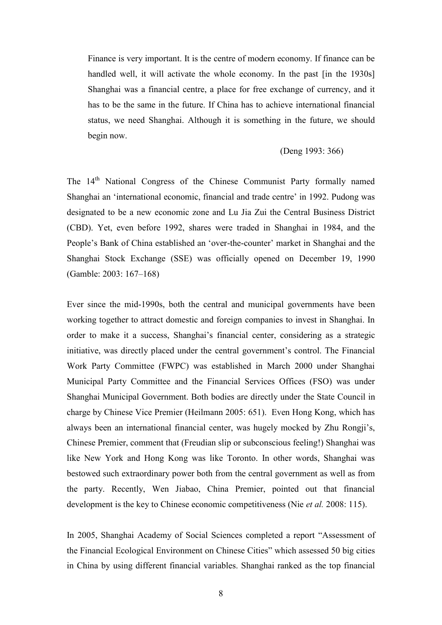Finance is very important. It is the centre of modern economy. If finance can be handled well, it will activate the whole economy. In the past [in the 1930s] Shanghai was a financial centre, a place for free exchange of currency, and it has to be the same in the future. If China has to achieve international financial status, we need Shanghai. Although it is something in the future, we should begin now.

# (Deng 1993: 366)

The 14<sup>th</sup> National Congress of the Chinese Communist Party formally named Shanghai an 'international economic, financial and trade centre' in 1992. Pudong was designated to be a new economic zone and Lu Jia Zui the Central Business District (CBD). Yet, even before 1992, shares were traded in Shanghai in 1984, and the People's Bank of China established an 'over-the-counter' market in Shanghai and the Shanghai Stock Exchange (SSE) was officially opened on December 19, 1990 (Gamble: 2003: 167–168)

Ever since the mid-1990s, both the central and municipal governments have been working together to attract domestic and foreign companies to invest in Shanghai. In order to make it a success, Shanghai's financial center, considering as a strategic initiative, was directly placed under the central government's control. The Financial Work Party Committee (FWPC) was established in March 2000 under Shanghai Municipal Party Committee and the Financial Services Offices (FSO) was under Shanghai Municipal Government. Both bodies are directly under the State Council in charge by Chinese Vice Premier (Heilmann 2005: 651). Even Hong Kong, which has always been an international financial center, was hugely mocked by Zhu Rongji's, Chinese Premier, comment that (Freudian slip or subconscious feeling!) Shanghai was like New York and Hong Kong was like Toronto. In other words, Shanghai was bestowed such extraordinary power both from the central government as well as from the party. Recently, Wen Jiabao, China Premier, pointed out that financial development is the key to Chinese economic competitiveness (Nie *et al.* 2008: 115).

In 2005, Shanghai Academy of Social Sciences completed a report "Assessment of the Financial Ecological Environment on Chinese Cities" which assessed 50 big cities in China by using different financial variables. Shanghai ranked as the top financial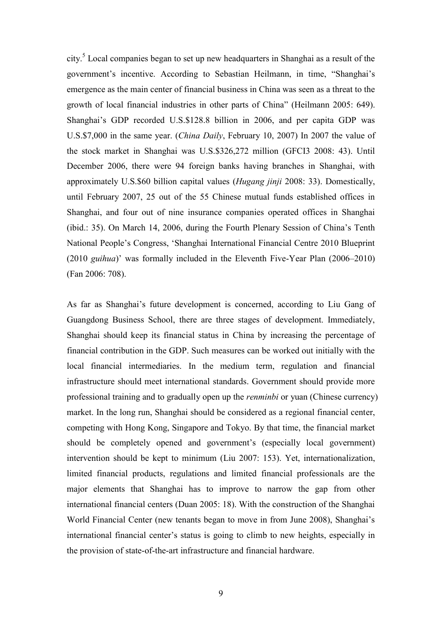city.<sup>5</sup> Local companies began to set up new headquarters in Shanghai as a result of the government's incentive. According to Sebastian Heilmann, in time, "Shanghai's emergence as the main center of financial business in China was seen as a threat to the growth of local financial industries in other parts of China" (Heilmann 2005: 649). Shanghai's GDP recorded U.S.\$128.8 billion in 2006, and per capita GDP was U.S.\$7,000 in the same year. (*China Daily*, February 10, 2007) In 2007 the value of the stock market in Shanghai was U.S.\$326,272 million (GFCI3 2008: 43). Until December 2006, there were 94 foreign banks having branches in Shanghai, with approximately U.S.\$60 billion capital values (*Hugang jinji* 2008: 33). Domestically, until February 2007, 25 out of the 55 Chinese mutual funds established offices in Shanghai, and four out of nine insurance companies operated offices in Shanghai (ibid.: 35). On March 14, 2006, during the Fourth Plenary Session of China's Tenth National People's Congress, 'Shanghai International Financial Centre 2010 Blueprint (2010 *guihua*)' was formally included in the Eleventh Five-Year Plan (2006–2010) (Fan 2006: 708).

As far as Shanghai's future development is concerned, according to Liu Gang of Guangdong Business School, there are three stages of development. Immediately, Shanghai should keep its financial status in China by increasing the percentage of financial contribution in the GDP. Such measures can be worked out initially with the local financial intermediaries. In the medium term, regulation and financial infrastructure should meet international standards. Government should provide more professional training and to gradually open up the *renminbi* or yuan (Chinese currency) market. In the long run, Shanghai should be considered as a regional financial center, competing with Hong Kong, Singapore and Tokyo. By that time, the financial market should be completely opened and government's (especially local government) intervention should be kept to minimum (Liu 2007: 153). Yet, internationalization, limited financial products, regulations and limited financial professionals are the major elements that Shanghai has to improve to narrow the gap from other international financial centers (Duan 2005: 18). With the construction of the Shanghai World Financial Center (new tenants began to move in from June 2008), Shanghai's international financial center's status is going to climb to new heights, especially in the provision of state-of-the-art infrastructure and financial hardware.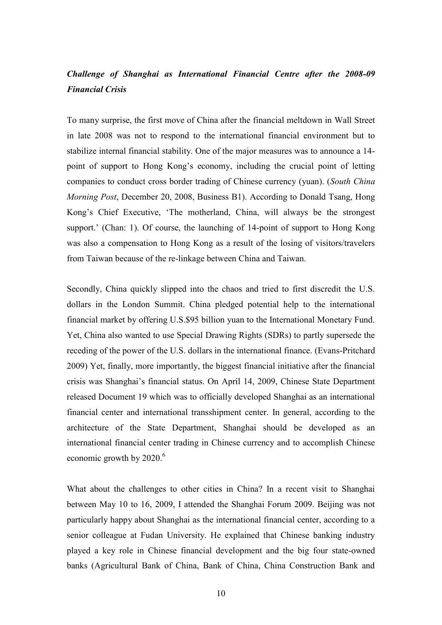# *Challenge of Shanghai as International Financial Centre after the 2008-09 Financial Crisis*

To many surprise, the first move of China after the financial meltdown in Wall Street in late 2008 was not to respond to the international financial environment but to stabilize internal financial stability. One of the major measures was to announce a 14 point of support to Hong Kong's economy, including the crucial point of letting companies to conduct cross border trading of Chinese currency (yuan). (*South China Morning Post*, December 20, 2008, Business B1). According to Donald Tsang, Hong Kong's Chief Executive, 'The motherland, China, will always be the strongest support.' (Chan: 1). Of course, the launching of 14-point of support to Hong Kong was also a compensation to Hong Kong as a result of the losing of visitors/travelers from Taiwan because of the re-linkage between China and Taiwan.

Secondly, China quickly slipped into the chaos and tried to first discredit the U.S. dollars in the London Summit. China pledged potential help to the international financial market by offering U.S.\$95 billion yuan to the International Monetary Fund. Yet, China also wanted to use Special Drawing Rights (SDRs) to partly supersede the receding of the power of the U.S. dollars in the international finance. (Evans-Pritchard 2009) Yet, finally, more importantly, the biggest financial initiative after the financial crisis was Shanghai's financial status. On April 14, 2009, Chinese State Department released Document 19 which was to officially developed Shanghai as an international financial center and international transshipment center. In general, according to the architecture of the State Department, Shanghai should be developed as an international financial center trading in Chinese currency and to accomplish Chinese economic growth by  $2020$ .<sup>6</sup>

What about the challenges to other cities in China? In a recent visit to Shanghai between May 10 to 16, 2009, I attended the Shanghai Forum 2009. Beijing was not particularly happy about Shanghai as the international financial center, according to a senior colleague at Fudan University. He explained that Chinese banking industry played a key role in Chinese financial development and the big four state-owned banks (Agricultural Bank of China, Bank of China, China Construction Bank and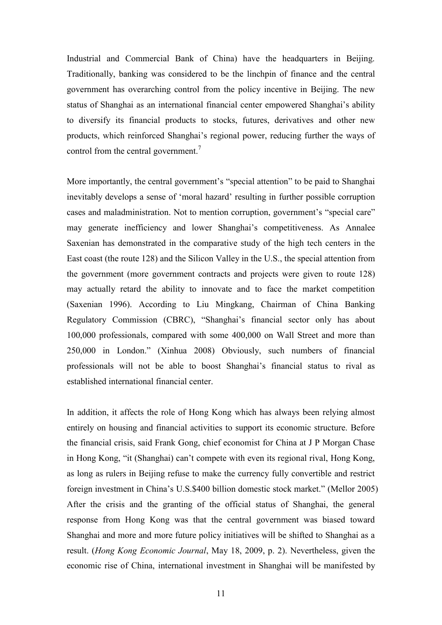Industrial and Commercial Bank of China) have the headquarters in Beijing. Traditionally, banking was considered to be the linchpin of finance and the central government has overarching control from the policy incentive in Beijing. The new status of Shanghai as an international financial center empowered Shanghai's ability to diversify its financial products to stocks, futures, derivatives and other new products, which reinforced Shanghai's regional power, reducing further the ways of control from the central government. $<sup>7</sup>$ </sup>

More importantly, the central government's "special attention" to be paid to Shanghai inevitably develops a sense of 'moral hazard' resulting in further possible corruption cases and maladministration. Not to mention corruption, government's "special care" may generate inefficiency and lower Shanghai's competitiveness. As Annalee Saxenian has demonstrated in the comparative study of the high tech centers in the East coast (the route 128) and the Silicon Valley in the U.S., the special attention from the government (more government contracts and projects were given to route 128) may actually retard the ability to innovate and to face the market competition (Saxenian 1996). According to Liu Mingkang, Chairman of China Banking Regulatory Commission (CBRC), "Shanghai's financial sector only has about 100,000 professionals, compared with some 400,000 on Wall Street and more than 250,000 in London.‖ (Xinhua 2008) Obviously, such numbers of financial professionals will not be able to boost Shanghai's financial status to rival as established international financial center.

In addition, it affects the role of Hong Kong which has always been relying almost entirely on housing and financial activities to support its economic structure. Before the financial crisis, said Frank Gong, chief economist for China at J P Morgan Chase in Hong Kong, "it (Shanghai) can't compete with even its regional rival, Hong Kong, as long as rulers in Beijing refuse to make the currency fully convertible and restrict foreign investment in China's U.S.\$400 billion domestic stock market." (Mellor 2005) After the crisis and the granting of the official status of Shanghai, the general response from Hong Kong was that the central government was biased toward Shanghai and more and more future policy initiatives will be shifted to Shanghai as a result. (*Hong Kong Economic Journal*, May 18, 2009, p. 2). Nevertheless, given the economic rise of China, international investment in Shanghai will be manifested by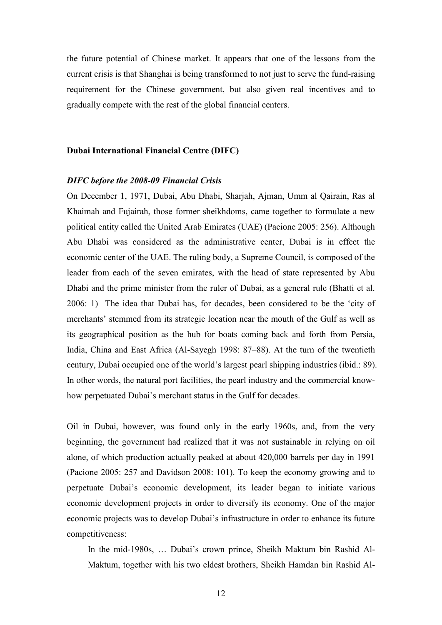the future potential of Chinese market. It appears that one of the lessons from the current crisis is that Shanghai is being transformed to not just to serve the fund-raising requirement for the Chinese government, but also given real incentives and to gradually compete with the rest of the global financial centers.

#### **Dubai International Financial Centre (DIFC)**

#### *DIFC before the 2008-09 Financial Crisis*

On December 1, 1971, Dubai, Abu Dhabi, Sharjah, Ajman, Umm al Qairain, Ras al Khaimah and Fujairah, those former sheikhdoms, came together to formulate a new political entity called the United Arab Emirates (UAE) (Pacione 2005: 256). Although Abu Dhabi was considered as the administrative center, Dubai is in effect the economic center of the UAE. The ruling body, a Supreme Council, is composed of the leader from each of the seven emirates, with the head of state represented by Abu Dhabi and the prime minister from the ruler of Dubai, as a general rule (Bhatti et al. 2006: 1) The idea that Dubai has, for decades, been considered to be the 'city of merchants' stemmed from its strategic location near the mouth of the Gulf as well as its geographical position as the hub for boats coming back and forth from Persia, India, China and East Africa (Al-Sayegh 1998: 87–88). At the turn of the twentieth century, Dubai occupied one of the world's largest pearl shipping industries (ibid.: 89). In other words, the natural port facilities, the pearl industry and the commercial knowhow perpetuated Dubai's merchant status in the Gulf for decades.

Oil in Dubai, however, was found only in the early 1960s, and, from the very beginning, the government had realized that it was not sustainable in relying on oil alone, of which production actually peaked at about 420,000 barrels per day in 1991 (Pacione 2005: 257 and Davidson 2008: 101). To keep the economy growing and to perpetuate Dubai's economic development, its leader began to initiate various economic development projects in order to diversify its economy. One of the major economic projects was to develop Dubai's infrastructure in order to enhance its future competitiveness:

In the mid-1980s, … Dubai's crown prince, Sheikh Maktum bin Rashid Al-Maktum, together with his two eldest brothers, Sheikh Hamdan bin Rashid Al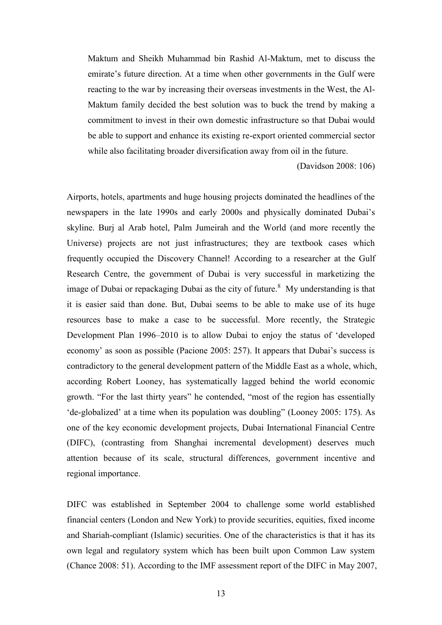Maktum and Sheikh Muhammad bin Rashid Al-Maktum, met to discuss the emirate's future direction. At a time when other governments in the Gulf were reacting to the war by increasing their overseas investments in the West, the Al-Maktum family decided the best solution was to buck the trend by making a commitment to invest in their own domestic infrastructure so that Dubai would be able to support and enhance its existing re-export oriented commercial sector while also facilitating broader diversification away from oil in the future.

(Davidson 2008: 106)

Airports, hotels, apartments and huge housing projects dominated the headlines of the newspapers in the late 1990s and early 2000s and physically dominated Dubai's skyline. Burj al Arab hotel, Palm Jumeirah and the World (and more recently the Universe) projects are not just infrastructures; they are textbook cases which frequently occupied the Discovery Channel! According to a researcher at the Gulf Research Centre, the government of Dubai is very successful in marketizing the image of Dubai or repackaging Dubai as the city of future.<sup>8</sup> My understanding is that it is easier said than done. But, Dubai seems to be able to make use of its huge resources base to make a case to be successful. More recently, the Strategic Development Plan 1996–2010 is to allow Dubai to enjoy the status of 'developed economy' as soon as possible (Pacione 2005: 257). It appears that Dubai's success is contradictory to the general development pattern of the Middle East as a whole, which, according Robert Looney, has systematically lagged behind the world economic growth. "For the last thirty years" he contended, "most of the region has essentially de-globalized' at a time when its population was doubling" (Looney 2005: 175). As one of the key economic development projects, Dubai International Financial Centre (DIFC), (contrasting from Shanghai incremental development) deserves much attention because of its scale, structural differences, government incentive and regional importance.

DIFC was established in September 2004 to challenge some world established financial centers (London and New York) to provide securities, equities, fixed income and Shariah-compliant (Islamic) securities. One of the characteristics is that it has its own legal and regulatory system which has been built upon Common Law system (Chance 2008: 51). According to the IMF assessment report of the DIFC in May 2007,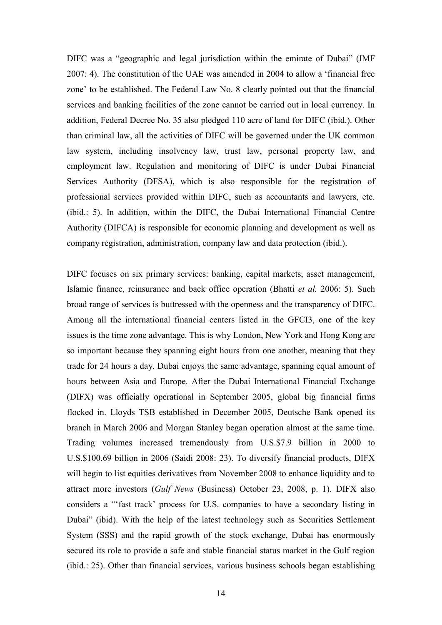DIFC was a "geographic and legal jurisdiction within the emirate of Dubai" (IMF) 2007: 4). The constitution of the UAE was amended in 2004 to allow a 'financial free zone' to be established. The Federal Law No. 8 clearly pointed out that the financial services and banking facilities of the zone cannot be carried out in local currency. In addition, Federal Decree No. 35 also pledged 110 acre of land for DIFC (ibid.). Other than criminal law, all the activities of DIFC will be governed under the UK common law system, including insolvency law, trust law, personal property law, and employment law. Regulation and monitoring of DIFC is under Dubai Financial Services Authority (DFSA), which is also responsible for the registration of professional services provided within DIFC, such as accountants and lawyers, etc. (ibid.: 5). In addition, within the DIFC, the Dubai International Financial Centre Authority (DIFCA) is responsible for economic planning and development as well as company registration, administration, company law and data protection (ibid.).

DIFC focuses on six primary services: banking, capital markets, asset management, Islamic finance, reinsurance and back office operation (Bhatti *et al.* 2006: 5). Such broad range of services is buttressed with the openness and the transparency of DIFC. Among all the international financial centers listed in the GFCI3, one of the key issues is the time zone advantage. This is why London, New York and Hong Kong are so important because they spanning eight hours from one another, meaning that they trade for 24 hours a day. Dubai enjoys the same advantage, spanning equal amount of hours between Asia and Europe. After the Dubai International Financial Exchange (DIFX) was officially operational in September 2005, global big financial firms flocked in. Lloyds TSB established in December 2005, Deutsche Bank opened its branch in March 2006 and Morgan Stanley began operation almost at the same time. Trading volumes increased tremendously from U.S.\$7.9 billion in 2000 to U.S.\$100.69 billion in 2006 (Saidi 2008: 23). To diversify financial products, DIFX will begin to list equities derivatives from November 2008 to enhance liquidity and to attract more investors (*Gulf News* (Business) October 23, 2008, p. 1). DIFX also considers a "'fast track' process for U.S. companies to have a secondary listing in Dubai" (ibid). With the help of the latest technology such as Securities Settlement System (SSS) and the rapid growth of the stock exchange, Dubai has enormously secured its role to provide a safe and stable financial status market in the Gulf region (ibid.: 25). Other than financial services, various business schools began establishing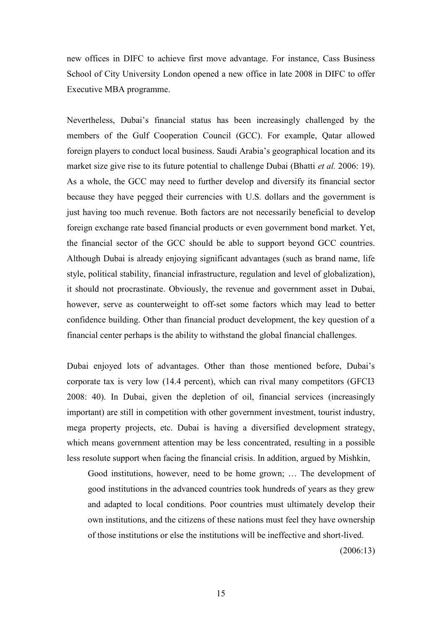new offices in DIFC to achieve first move advantage. For instance, Cass Business School of City University London opened a new office in late 2008 in DIFC to offer Executive MBA programme.

Nevertheless, Dubai's financial status has been increasingly challenged by the members of the Gulf Cooperation Council (GCC). For example, Qatar allowed foreign players to conduct local business. Saudi Arabia's geographical location and its market size give rise to its future potential to challenge Dubai (Bhatti *et al.* 2006: 19). As a whole, the GCC may need to further develop and diversify its financial sector because they have pegged their currencies with U.S. dollars and the government is just having too much revenue. Both factors are not necessarily beneficial to develop foreign exchange rate based financial products or even government bond market. Yet, the financial sector of the GCC should be able to support beyond GCC countries. Although Dubai is already enjoying significant advantages (such as brand name, life style, political stability, financial infrastructure, regulation and level of globalization), it should not procrastinate. Obviously, the revenue and government asset in Dubai, however, serve as counterweight to off-set some factors which may lead to better confidence building. Other than financial product development, the key question of a financial center perhaps is the ability to withstand the global financial challenges.

Dubai enjoyed lots of advantages. Other than those mentioned before, Dubai's corporate tax is very low (14.4 percent), which can rival many competitors (GFCI3 2008: 40). In Dubai, given the depletion of oil, financial services (increasingly important) are still in competition with other government investment, tourist industry, mega property projects, etc. Dubai is having a diversified development strategy, which means government attention may be less concentrated, resulting in a possible less resolute support when facing the financial crisis. In addition, argued by Mishkin,

Good institutions, however, need to be home grown; … The development of good institutions in the advanced countries took hundreds of years as they grew and adapted to local conditions. Poor countries must ultimately develop their own institutions, and the citizens of these nations must feel they have ownership of those institutions or else the institutions will be ineffective and short-lived.

(2006:13)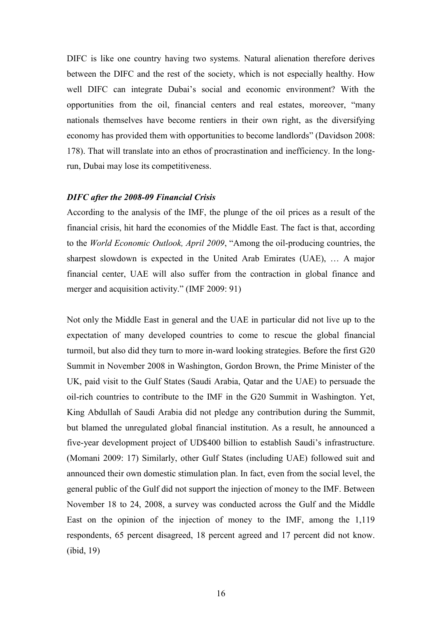DIFC is like one country having two systems. Natural alienation therefore derives between the DIFC and the rest of the society, which is not especially healthy. How well DIFC can integrate Dubai's social and economic environment? With the opportunities from the oil, financial centers and real estates, moreover, "many nationals themselves have become rentiers in their own right, as the diversifying economy has provided them with opportunities to become landlords" (Davidson 2008: 178). That will translate into an ethos of procrastination and inefficiency. In the longrun, Dubai may lose its competitiveness.

#### *DIFC after the 2008-09 Financial Crisis*

According to the analysis of the IMF, the plunge of the oil prices as a result of the financial crisis, hit hard the economies of the Middle East. The fact is that, according to the *World Economic Outlook, April 2009*, "Among the oil-producing countries, the sharpest slowdown is expected in the United Arab Emirates (UAE), … A major financial center, UAE will also suffer from the contraction in global finance and merger and acquisition activity."  $(MF 2009: 91)$ 

Not only the Middle East in general and the UAE in particular did not live up to the expectation of many developed countries to come to rescue the global financial turmoil, but also did they turn to more in-ward looking strategies. Before the first G20 Summit in November 2008 in Washington, Gordon Brown, the Prime Minister of the UK, paid visit to the Gulf States (Saudi Arabia, Qatar and the UAE) to persuade the oil-rich countries to contribute to the IMF in the G20 Summit in Washington. Yet, King Abdullah of Saudi Arabia did not pledge any contribution during the Summit, but blamed the unregulated global financial institution. As a result, he announced a five-year development project of UD\$400 billion to establish Saudi's infrastructure. (Momani 2009: 17) Similarly, other Gulf States (including UAE) followed suit and announced their own domestic stimulation plan. In fact, even from the social level, the general public of the Gulf did not support the injection of money to the IMF. Between November 18 to 24, 2008, a survey was conducted across the Gulf and the Middle East on the opinion of the injection of money to the IMF, among the 1,119 respondents, 65 percent disagreed, 18 percent agreed and 17 percent did not know. (ibid, 19)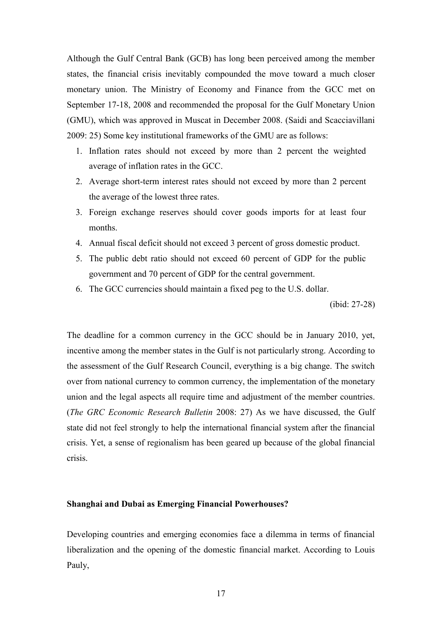Although the Gulf Central Bank (GCB) has long been perceived among the member states, the financial crisis inevitably compounded the move toward a much closer monetary union. The Ministry of Economy and Finance from the GCC met on September 17-18, 2008 and recommended the proposal for the Gulf Monetary Union (GMU), which was approved in Muscat in December 2008. (Saidi and Scacciavillani 2009: 25) Some key institutional frameworks of the GMU are as follows:

- 1. Inflation rates should not exceed by more than 2 percent the weighted average of inflation rates in the GCC.
- 2. Average short-term interest rates should not exceed by more than 2 percent the average of the lowest three rates.
- 3. Foreign exchange reserves should cover goods imports for at least four months.
- 4. Annual fiscal deficit should not exceed 3 percent of gross domestic product.
- 5. The public debt ratio should not exceed 60 percent of GDP for the public government and 70 percent of GDP for the central government.
- 6. The GCC currencies should maintain a fixed peg to the U.S. dollar.

(ibid: 27-28)

The deadline for a common currency in the GCC should be in January 2010, yet, incentive among the member states in the Gulf is not particularly strong. According to the assessment of the Gulf Research Council, everything is a big change. The switch over from national currency to common currency, the implementation of the monetary union and the legal aspects all require time and adjustment of the member countries. (*The GRC Economic Research Bulletin* 2008: 27) As we have discussed, the Gulf state did not feel strongly to help the international financial system after the financial crisis. Yet, a sense of regionalism has been geared up because of the global financial crisis.

# **Shanghai and Dubai as Emerging Financial Powerhouses?**

Developing countries and emerging economies face a dilemma in terms of financial liberalization and the opening of the domestic financial market. According to Louis Pauly,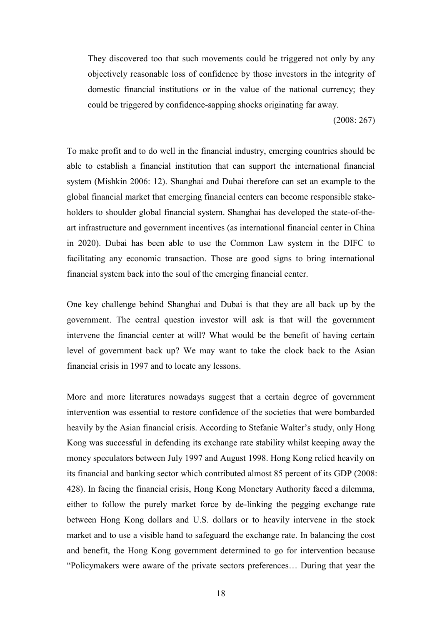They discovered too that such movements could be triggered not only by any objectively reasonable loss of confidence by those investors in the integrity of domestic financial institutions or in the value of the national currency; they could be triggered by confidence-sapping shocks originating far away.

(2008: 267)

To make profit and to do well in the financial industry, emerging countries should be able to establish a financial institution that can support the international financial system (Mishkin 2006: 12). Shanghai and Dubai therefore can set an example to the global financial market that emerging financial centers can become responsible stakeholders to shoulder global financial system. Shanghai has developed the state-of-theart infrastructure and government incentives (as international financial center in China in 2020). Dubai has been able to use the Common Law system in the DIFC to facilitating any economic transaction. Those are good signs to bring international financial system back into the soul of the emerging financial center.

One key challenge behind Shanghai and Dubai is that they are all back up by the government. The central question investor will ask is that will the government intervene the financial center at will? What would be the benefit of having certain level of government back up? We may want to take the clock back to the Asian financial crisis in 1997 and to locate any lessons.

More and more literatures nowadays suggest that a certain degree of government intervention was essential to restore confidence of the societies that were bombarded heavily by the Asian financial crisis. According to Stefanie Walter's study, only Hong Kong was successful in defending its exchange rate stability whilst keeping away the money speculators between July 1997 and August 1998. Hong Kong relied heavily on its financial and banking sector which contributed almost 85 percent of its GDP (2008: 428). In facing the financial crisis, Hong Kong Monetary Authority faced a dilemma, either to follow the purely market force by de-linking the pegging exchange rate between Hong Kong dollars and U.S. dollars or to heavily intervene in the stock market and to use a visible hand to safeguard the exchange rate. In balancing the cost and benefit, the Hong Kong government determined to go for intervention because ―Policymakers were aware of the private sectors preferences… During that year the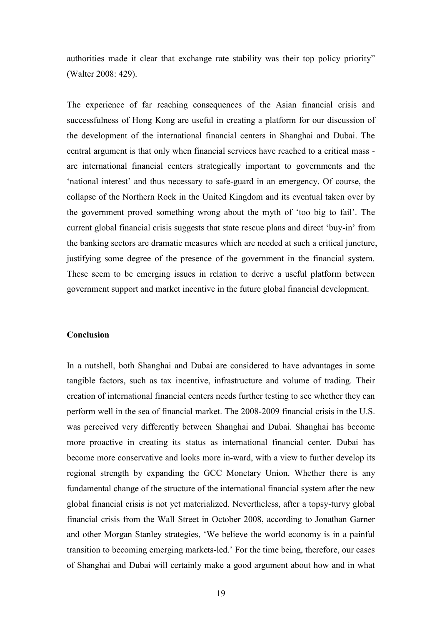authorities made it clear that exchange rate stability was their top policy priority" (Walter 2008: 429).

The experience of far reaching consequences of the Asian financial crisis and successfulness of Hong Kong are useful in creating a platform for our discussion of the development of the international financial centers in Shanghai and Dubai. The central argument is that only when financial services have reached to a critical mass are international financial centers strategically important to governments and the ‗national interest' and thus necessary to safe-guard in an emergency. Of course, the collapse of the Northern Rock in the United Kingdom and its eventual taken over by the government proved something wrong about the myth of ‗too big to fail'. The current global financial crisis suggests that state rescue plans and direct 'buy-in' from the banking sectors are dramatic measures which are needed at such a critical juncture, justifying some degree of the presence of the government in the financial system. These seem to be emerging issues in relation to derive a useful platform between government support and market incentive in the future global financial development.

#### **Conclusion**

In a nutshell, both Shanghai and Dubai are considered to have advantages in some tangible factors, such as tax incentive, infrastructure and volume of trading. Their creation of international financial centers needs further testing to see whether they can perform well in the sea of financial market. The 2008-2009 financial crisis in the U.S. was perceived very differently between Shanghai and Dubai. Shanghai has become more proactive in creating its status as international financial center. Dubai has become more conservative and looks more in-ward, with a view to further develop its regional strength by expanding the GCC Monetary Union. Whether there is any fundamental change of the structure of the international financial system after the new global financial crisis is not yet materialized. Nevertheless, after a topsy-turvy global financial crisis from the Wall Street in October 2008, according to Jonathan Garner and other Morgan Stanley strategies, ‗We believe the world economy is in a painful transition to becoming emerging markets-led.' For the time being, therefore, our cases of Shanghai and Dubai will certainly make a good argument about how and in what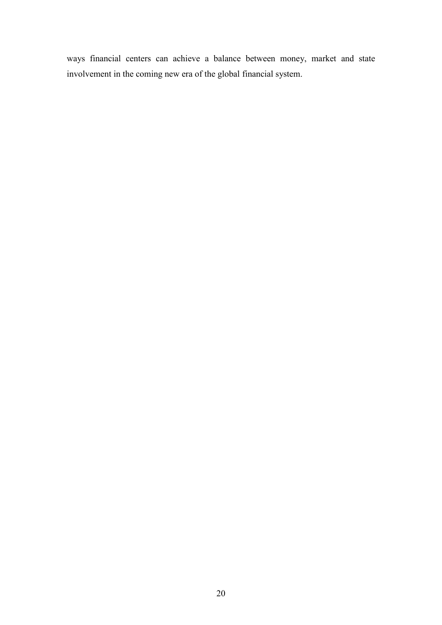ways financial centers can achieve a balance between money, market and state involvement in the coming new era of the global financial system.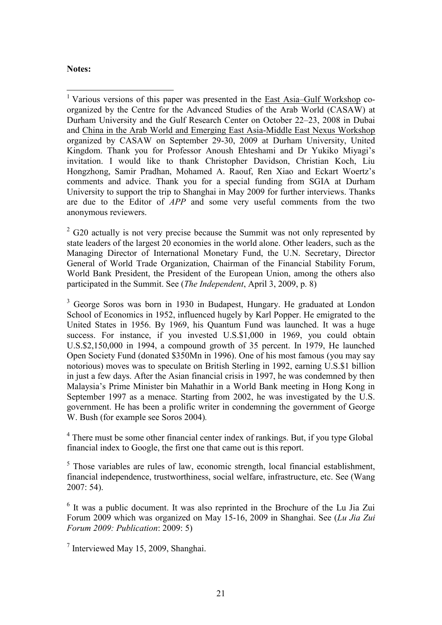# **Notes:**

1

<sup>1</sup> Various versions of this paper was presented in the **East Asia–Gulf Workshop** coorganized by the Centre for the Advanced Studies of the Arab World (CASAW) at Durham University and the Gulf Research Center on October 22–23, 2008 in Dubai and China in the Arab World and Emerging East Asia-Middle East Nexus Workshop organized by CASAW on September 29-30, 2009 at Durham University, United Kingdom. Thank you for Professor Anoush Ehteshami and Dr Yukiko Miyagi's invitation. I would like to thank Christopher Davidson, Christian Koch, Liu Hongzhong, Samir Pradhan, Mohamed A. Raouf, Ren Xiao and Eckart Woertz's comments and advice. Thank you for a special funding from SGIA at Durham University to support the trip to Shanghai in May 2009 for further interviews. Thanks are due to the Editor of *APP* and some very useful comments from the two anonymous reviewers.

 $2^{2}$  G20 actually is not very precise because the Summit was not only represented by state leaders of the largest 20 economies in the world alone. Other leaders, such as the Managing Director of International Monetary Fund, the U.N. Secretary, Director General of World Trade Organization, Chairman of the Financial Stability Forum, World Bank President, the President of the European Union, among the others also participated in the Summit. See (*The Independent*, April 3, 2009, p. 8)

<sup>3</sup> George Soros was born in 1930 in Budapest, Hungary. He graduated at London School of Economics in 1952, influenced hugely by Karl Popper. He emigrated to the United States in 1956. By 1969, his Quantum Fund was launched. It was a huge success. For instance, if you invested U.S.\$1,000 in 1969, you could obtain U.S.\$2,150,000 in 1994, a compound growth of 35 percent. In 1979, He launched Open Society Fund (donated \$350Mn in 1996). One of his most famous (you may say notorious) moves was to speculate on British Sterling in 1992, earning U.S.\$1 billion in just a few days. After the Asian financial crisis in 1997, he was condemned by then Malaysia's Prime Minister bin Mahathir in a World Bank meeting in Hong Kong in September 1997 as a menace. Starting from 2002, he was investigated by the U.S. government. He has been a prolific writer in condemning the government of George W. Bush (for example see Soros 2004)*.*

<sup>4</sup> There must be some other financial center index of rankings. But, if you type Global financial index to Google, the first one that came out is this report.

<sup>5</sup> Those variables are rules of law, economic strength, local financial establishment, financial independence, trustworthiness, social welfare, infrastructure, etc. See (Wang 2007: 54).

<sup>6</sup> It was a public document. It was also reprinted in the Brochure of the Lu Jia Zui Forum 2009 which was organized on May 15-16, 2009 in Shanghai. See (*Lu Jia Zui Forum 2009: Publication*: 2009: 5)

7 Interviewed May 15, 2009, Shanghai.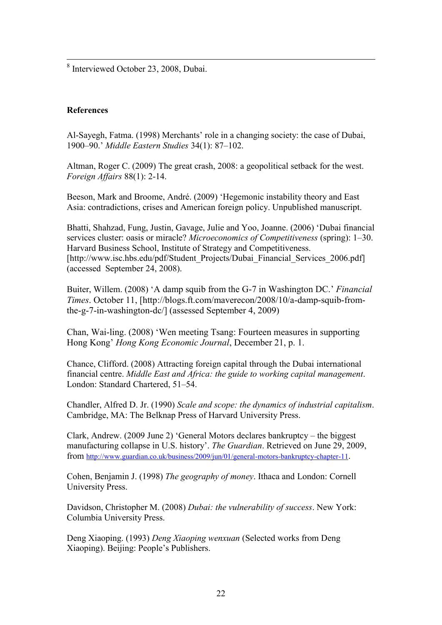8 Interviewed October 23, 2008, Dubai.

# **References**

<u>.</u>

Al-Sayegh, Fatma. (1998) Merchants' role in a changing society: the case of Dubai, 1900–90.' *Middle Eastern Studies* 34(1): 87–102.

Altman, Roger C. (2009) The great crash, 2008: a geopolitical setback for the west. *Foreign Affairs* 88(1): 2-14.

Beeson, Mark and Broome, André. (2009) 'Hegemonic instability theory and East Asia: contradictions, crises and American foreign policy. Unpublished manuscript.

Bhatti, Shahzad, Fung, Justin, Gavage, Julie and Yoo, Joanne. (2006) 'Dubai financial services cluster: oasis or miracle? *Microeconomics of Competitiveness* (spring): 1–30. Harvard Business School, Institute of Strategy and Competitiveness. [http://www.isc.hbs.edu/pdf/Student\_Projects/Dubai\_Financial\_Services\_2006.pdf] (accessed September 24, 2008).

Buiter, Willem. (2008) <sup>A</sup> damp squib from the G-7 in Washington DC.' *Financial Times*. October 11, [http://blogs.ft.com/maverecon/2008/10/a-damp-squib-fromthe-g-7-in-washington-dc/] (assessed September 4, 2009)

Chan, Wai-ling. (2008) ‗Wen meeting Tsang: Fourteen measures in supporting Hong Kong' *Hong Kong Economic Journal*, December 21, p. 1.

Chance, Clifford. (2008) Attracting foreign capital through the Dubai international financial centre. *Middle East and Africa: the guide to working capital management*. London: Standard Chartered, 51–54.

Chandler, Alfred D. Jr. (1990) *Scale and scope: the dynamics of industrial capitalism*. Cambridge, MA: The Belknap Press of Harvard University Press.

Clark, Andrew. (2009 June 2) 'General Motors declares bankruptcy – the biggest manufacturing collapse in U.S. history'. *The Guardian*. Retrieved on June 29, 2009, from <http://www.guardian.co.uk/business/2009/jun/01/general-motors-bankruptcy-chapter-11>.

Cohen, Benjamin J. (1998) *The geography of money*. Ithaca and London: Cornell University Press.

Davidson, Christopher M. (2008) *Dubai: the vulnerability of success*. New York: Columbia University Press.

Deng Xiaoping. (1993) *Deng Xiaoping wenxuan* (Selected works from Deng Xiaoping). Beijing: People's Publishers.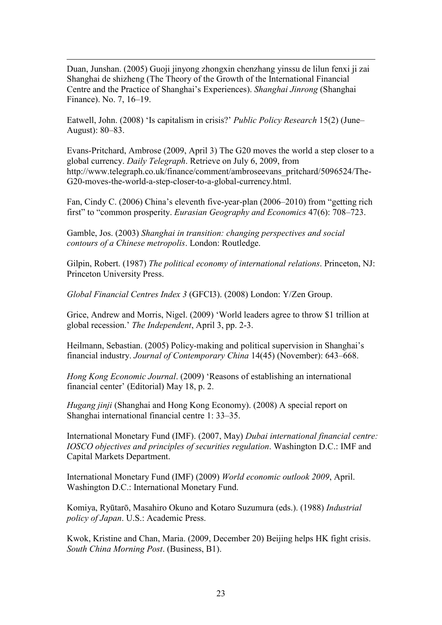Duan, Junshan. (2005) Guoji jinyong zhongxin chenzhang yinssu de lilun fenxi ji zai Shanghai de shizheng (The Theory of the Growth of the International Financial Centre and the Practice of Shanghai's Experiences). *Shanghai Jinrong* (Shanghai Finance). No. 7, 16–19.

<u>.</u>

Eatwell, John. (2008) 'Is capitalism in crisis?' *Public Policy Research* 15(2) (June– August): 80–83.

Evans-Pritchard, Ambrose (2009, April 3) The G20 moves the world a step closer to a global currency. *Daily Telegraph*. Retrieve on July 6, 2009, from http://www.telegraph.co.uk/finance/comment/ambroseevans\_pritchard/5096524/The-G20-moves-the-world-a-step-closer-to-a-global-currency.html.

Fan, Cindy C. (2006) China's eleventh five-year-plan (2006–2010) from "getting rich first" to "common prosperity. *Eurasian Geography and Economics* 47(6): 708–723.

Gamble, Jos. (2003) *Shanghai in transition: changing perspectives and social contours of a Chinese metropolis*. London: Routledge.

Gilpin, Robert. (1987) *The political economy of international relations*. Princeton, NJ: Princeton University Press.

*Global Financial Centres Index 3* (GFCI3). (2008) London: Y/Zen Group.

Grice, Andrew and Morris, Nigel. (2009) ‗World leaders agree to throw \$1 trillion at global recession.' *The Independent*, April 3, pp. 2-3.

Heilmann, Sebastian. (2005) Policy-making and political supervision in Shanghai's financial industry. *Journal of Contemporary China* 14(45) (November): 643–668.

*Hong Kong Economic Journal.* (2009) 'Reasons of establishing an international financial center' (Editorial) May 18, p. 2.

*Hugang jinji* (Shanghai and Hong Kong Economy). (2008) A special report on Shanghai international financial centre 1: 33–35.

International Monetary Fund (IMF). (2007, May) *Dubai international financial centre: IOSCO objectives and principles of securities regulation*. Washington D.C.: IMF and Capital Markets Department.

International Monetary Fund (IMF) (2009) *World economic outlook 2009*, April. Washington D.C.: International Monetary Fund.

Komiya, Ryūtarō, Masahiro Okuno and Kotaro Suzumura (eds.). (1988) *Industrial policy of Japan*. U.S.: Academic Press.

Kwok, Kristine and Chan, Maria. (2009, December 20) Beijing helps HK fight crisis. *South China Morning Post*. (Business, B1).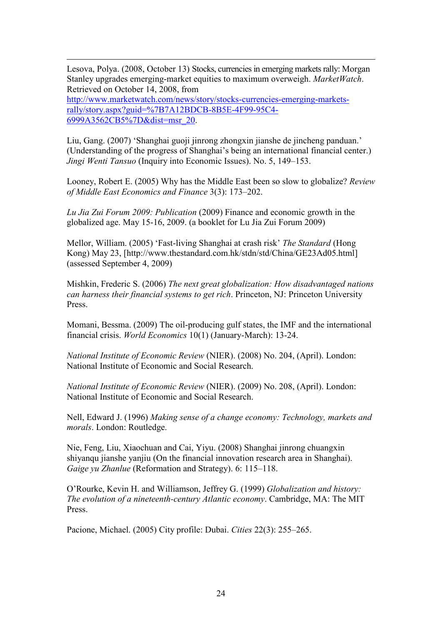Lesova, Polya. (2008, October 13) Stocks, currencies in emerging markets rally: Morgan Stanley upgrades emerging-market equities to maximum overweigh. *MarketWatch*. Retrieved on October 14, 2008, from [http://www.marketwatch.com/news/story/stocks-currencies-emerging-markets](http://www.marketwatch.com/news/story/stocks-currencies-emerging-markets-rally/story.aspx?guid=%7B7A12BDCB-8B5E-4F99-95C4-6999A3562CB5%7D&dist=msr_20)[rally/story.aspx?guid=%7B7A12BDCB-8B5E-4F99-95C4-](http://www.marketwatch.com/news/story/stocks-currencies-emerging-markets-rally/story.aspx?guid=%7B7A12BDCB-8B5E-4F99-95C4-6999A3562CB5%7D&dist=msr_20) [6999A3562CB5%7D&dist=msr\\_20.](http://www.marketwatch.com/news/story/stocks-currencies-emerging-markets-rally/story.aspx?guid=%7B7A12BDCB-8B5E-4F99-95C4-6999A3562CB5%7D&dist=msr_20)

<u>.</u>

Liu, Gang. (2007) ‗Shanghai guoji jinrong zhongxin jianshe de jincheng panduan.' (Understanding of the progress of Shanghai's being an international financial center.) *Jingi Wenti Tansuo* (Inquiry into Economic Issues). No. 5, 149–153.

Looney, Robert E. (2005) Why has the Middle East been so slow to globalize? *Review of Middle East Economics and Finance* 3(3): 173–202.

*Lu Jia Zui Forum 2009: Publication* (2009) Finance and economic growth in the globalized age. May 15-16, 2009. (a booklet for Lu Jia Zui Forum 2009)

Mellor, William. (2005) ‗Fast-living Shanghai at crash risk' *The Standard* (Hong Kong) May 23, [http://www.thestandard.com.hk/stdn/std/China/GE23Ad05.html] (assessed September 4, 2009)

Mishkin, Frederic S. (2006) *The next great globalization: How disadvantaged nations can harness their financial systems to get rich*. Princeton, NJ: Princeton University Press.

Momani, Bessma. (2009) The oil-producing gulf states, the IMF and the international financial crisis. *World Economics* 10(1) (January-March): 13-24.

*National Institute of Economic Review* (NIER). (2008) No. 204, (April). London: National Institute of Economic and Social Research.

*National Institute of Economic Review* (NIER). (2009) No. 208, (April). London: National Institute of Economic and Social Research.

Nell, Edward J. (1996) *Making sense of a change economy: Technology, markets and morals*. London: Routledge.

Nie, Feng, Liu, Xiaochuan and Cai, Yiyu. (2008) Shanghai jinrong chuangxin shiyanqu jianshe yanjiu (On the financial innovation research area in Shanghai). *Gaige yu Zhanlue* (Reformation and Strategy). 6: 115–118.

O'Rourke, Kevin H. and Williamson, Jeffrey G. (1999) *Globalization and history: The evolution of a nineteenth-century Atlantic economy*. Cambridge, MA: The MIT Press.

Pacione, Michael. (2005) City profile: Dubai. *Cities* 22(3): 255–265.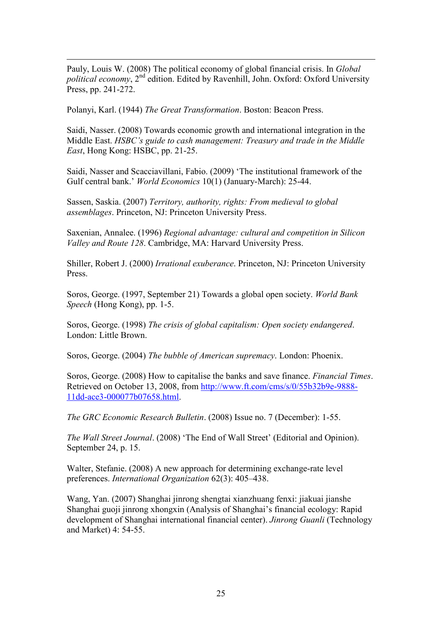Pauly, Louis W. (2008) The political economy of global financial crisis. In *Global political economy*, 2<sup>nd</sup> edition. Edited by Ravenhill, John. Oxford: Oxford University Press, pp. 241-272.

Polanyi, Karl. (1944) *The Great Transformation*. Boston: Beacon Press.

<u>.</u>

Saidi, Nasser. (2008) Towards economic growth and international integration in the Middle East. *HSBC's guide to cash management: Treasury and trade in the Middle East*, Hong Kong: HSBC, pp. 21-25.

Saidi, Nasser and Scacciavillani, Fabio. (2009) 'The institutional framework of the Gulf central bank.' *World Economics* 10(1) (January-March): 25-44.

Sassen, Saskia. (2007) *Territory, authority, rights: From medieval to global assemblages*. Princeton, NJ: Princeton University Press.

Saxenian, Annalee. (1996) *Regional advantage: cultural and competition in Silicon Valley and Route 128*. Cambridge, MA: Harvard University Press.

Shiller, Robert J. (2000) *Irrational exuberance*. Princeton, NJ: Princeton University Press.

Soros, George. (1997, September 21) Towards a global open society. *World Bank Speech* (Hong Kong), pp. 1-5.

Soros, George. (1998) *The crisis of global capitalism: Open society endangered*. London: Little Brown.

Soros, George. (2004) *The bubble of American supremacy*. London: Phoenix.

Soros, George. (2008) How to capitalise the banks and save finance. *Financial Times*. Retrieved on October 13, 2008, from [http://www.ft.com/cms/s/0/55b32b9e-9888-](http://www.ft.com/cms/s/0/55b32b9e-9888-11dd-ace3-000077b07658.html) [11dd-ace3-000077b07658.html.](http://www.ft.com/cms/s/0/55b32b9e-9888-11dd-ace3-000077b07658.html)

*The GRC Economic Research Bulletin*. (2008) Issue no. 7 (December): 1-55.

*The Wall Street Journal.* (2008) 'The End of Wall Street' (Editorial and Opinion). September 24, p. 15.

Walter, Stefanie. (2008) A new approach for determining exchange-rate level preferences. *International Organization* 62(3): 405–438.

Wang, Yan. (2007) Shanghai jinrong shengtai xianzhuang fenxi: jiakuai jianshe Shanghai guoji jinrong xhongxin (Analysis of Shanghai's financial ecology: Rapid development of Shanghai international financial center). *Jinrong Guanli* (Technology and Market) 4: 54-55.